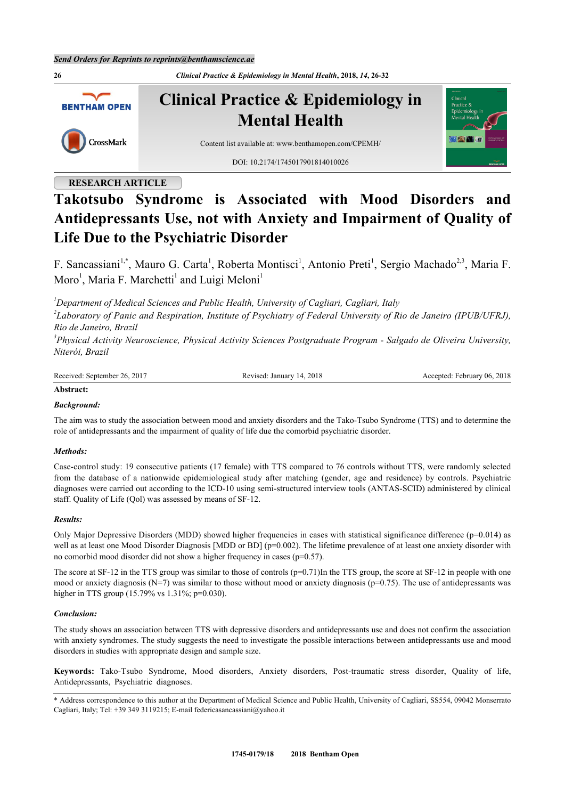

## **RESEARCH ARTICLE**

# **Takotsubo Syndrome is Associated with Mood Disorders and Antidepressants Use, not with Anxiety and Impairment of Quality of Life Due to the Psychiatric Disorder**

F. Sancassiani<sup>[1](#page-0-0),[\\*](#page-0-1)</sup>, Mauro G. Carta<sup>1</sup>, Roberta Montisci<sup>1</sup>, Antonio Preti<sup>1</sup>, Sergio Machado<sup>[2](#page-0-2)[,3](#page-0-3)</sup>, Maria F. Moro<sup>[1](#page-0-0)</sup>, Maria F. Marchetti<sup>1</sup> and Luigi Meloni<sup>1</sup>

<span id="page-0-0"></span>*<sup>1</sup>Department of Medical Sciences and Public Health, University of Cagliari, Cagliari, Italy*

<span id="page-0-2"></span>*2 Laboratory of Panic and Respiration, Institute of Psychiatry of Federal University of Rio de Janeiro (IPUB/UFRJ), Rio de Janeiro, Brazil*

<span id="page-0-3"></span>*3 Physical Activity Neuroscience, Physical Activity Sciences Postgraduate Program - Salgado de Oliveira University, Niterói, Brazil*

|  | Received: September 2<br>$-201$ <sup>-</sup><br>26. | 2018<br>January<br>Revised: Ja<br>-14 | 2018<br>$\cdot$ February 06.<br>Accepted: |
|--|-----------------------------------------------------|---------------------------------------|-------------------------------------------|
|--|-----------------------------------------------------|---------------------------------------|-------------------------------------------|

## **Abstract:**

## *Background:*

The aim was to study the association between mood and anxiety disorders and the Tako-Tsubo Syndrome (TTS) and to determine the role of antidepressants and the impairment of quality of life due the comorbid psychiatric disorder.

### *Methods:*

Case-control study: 19 consecutive patients (17 female) with TTS compared to 76 controls without TTS, were randomly selected from the database of a nationwide epidemiological study after matching (gender, age and residence) by controls. Psychiatric diagnoses were carried out according to the ICD-10 using semi-structured interview tools (ANTAS-SCID) administered by clinical staff. Quality of Life (Qol) was assessed by means of SF-12.

### *Results:*

Only Major Depressive Disorders (MDD) showed higher frequencies in cases with statistical significance difference ( $p=0.014$ ) as well as at least one Mood Disorder Diagnosis [MDD or BD] (p=0.002). The lifetime prevalence of at least one anxiety disorder with no comorbid mood disorder did not show a higher frequency in cases (p=0.57).

The score at SF-12 in the TTS group was similar to those of controls (p=0.71)In the TTS group, the score at SF-12 in people with one mood or anxiety diagnosis ( $N=7$ ) was similar to those without mood or anxiety diagnosis ( $p=0.75$ ). The use of antidepressants was higher in TTS group (15.79% vs 1.31%; p=0.030).

### *Conclusion:*

The study shows an association between TTS with depressive disorders and antidepressants use and does not confirm the association with anxiety syndromes. The study suggests the need to investigate the possible interactions between antidepressants use and mood disorders in studies with appropriate design and sample size.

**Keywords:** Tako-Tsubo Syndrome, Mood disorders, Anxiety disorders, Post-traumatic stress disorder, Quality of life, Antidepressants, Psychiatric diagnoses.

<span id="page-0-1"></span><sup>\*</sup> Address correspondence to this author at the Department of Medical Science and Public Health, University of Cagliari, SS554, 09042 Monserrato Cagliari, Italy; Tel: +39 349 3119215; E-mail [federicasancassiani@yahoo.it](mailto:federicasancassiani@yahoo.it)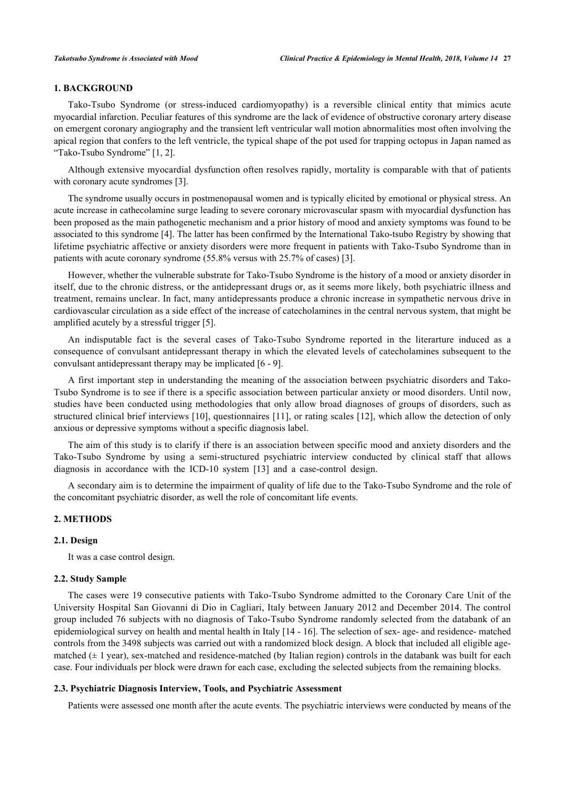## **1. BACKGROUND**

Tako-Tsubo Syndrome (or stress-induced cardiomyopathy) is a reversible clinical entity that mimics acute myocardial infarction. Peculiar features of this syndrome are the lack of evidence of obstructive coronary artery disease on emergent coronary angiography and the transient left ventricular wall motion abnormalities most often involving the apical region that confers to the left ventricle, the typical shape of the pot used for trapping octopus in Japan named as "Tako-Tsubo Syndrome" [[1,](#page-5-0) [2\]](#page-5-1).

Although extensive myocardial dysfunction often resolves rapidly, mortality is comparable with that of patients with coronary acute syndromes [[3\]](#page-5-2).

The syndrome usually occurs in postmenopausal women and is typically elicited by emotional or physical stress. An acute increase in cathecolamine surge leading to severe coronary microvascular spasm with myocardial dysfunction has been proposed as the main pathogenetic mechanism and a prior history of mood and anxiety symptoms was found to be associated to this syndrome [\[4](#page-5-3)]. The latter has been confirmed by the International Tako-tsubo Registry by showing that lifetime psychiatric affective or anxiety disorders were more frequent in patients with Tako-Tsubo Syndrome than in patients with acute coronary syndrome (55.8% versus with 25.7% of cases) [[3\]](#page-5-2).

However, whether the vulnerable substrate for Tako-Tsubo Syndrome is the history of a mood or anxiety disorder in itself, due to the chronic distress, or the antidepressant drugs or, as it seems more likely, both psychiatric illness and treatment, remains unclear. In fact, many antidepressants produce a chronic increase in sympathetic nervous drive in cardiovascular circulation as a side effect of the increase of catecholamines in the central nervous system, that might be amplified acutely by a stressful trigger [[5\]](#page-5-4).

An indisputable fact is the several cases of Tako-Tsubo Syndrome reported in the literarture induced as a consequence of convulsant antidepressant therapy in which the elevated levels of catecholamines subsequent to the convulsant antidepressant therapy may be implicated [\[6](#page-5-5) - [9\]](#page-5-6).

A first important step in understanding the meaning of the association between psychiatric disorders and Tako-Tsubo Syndrome is to see if there is a specific association between particular anxiety or mood disorders. Until now, studies have been conducted using methodologies that only allow broad diagnoses of groups of disorders, such as structured clinical brief interviews [[10\]](#page-5-7), questionnaires [[11\]](#page-5-8), or rating scales [[12\]](#page-5-9), which allow the detection of only anxious or depressive symptoms without a specific diagnosis label.

The aim of this study is to clarify if there is an association between specific mood and anxiety disorders and the Tako-Tsubo Syndrome by using a semi-structured psychiatric interview conducted by clinical staff that allows diagnosis in accordance with the ICD-10 system [\[13](#page-6-0)] and a case-control design.

A secondary aim is to determine the impairment of quality of life due to the Tako-Tsubo Syndrome and the role of the concomitant psychiatric disorder, as well the role of concomitant life events.

## **2. METHODS**

#### **2.1. Design**

It was a case control design.

#### **2.2. Study Sample**

The cases were 19 consecutive patients with Tako-Tsubo Syndrome admitted to the Coronary Care Unit of the University Hospital San Giovanni di Dio in Cagliari, Italy between January 2012 and December 2014. The control group included 76 subjects with no diagnosis of Tako-Tsubo Syndrome randomly selected from the databank of an epidemiological survey on health and mental health in Italy [[14](#page-6-1) - [16](#page-6-2)]. The selection of sex- age- and residence- matched controls from the 3498 subjects was carried out with a randomized block design. A block that included all eligible agematched  $(\pm 1$  year), sex-matched and residence-matched (by Italian region) controls in the databank was built for each case. Four individuals per block were drawn for each case, excluding the selected subjects from the remaining blocks.

#### **2.3. Psychiatric Diagnosis Interview, Tools, and Psychiatric Assessment**

Patients were assessed one month after the acute events. The psychiatric interviews were conducted by means of the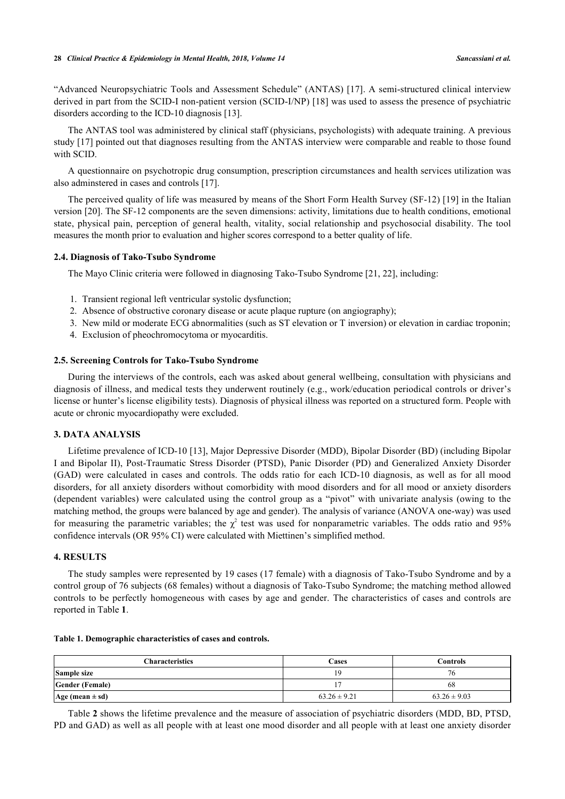"Advanced Neuropsychiatric Tools and Assessment Schedule" (ANTAS) [[17](#page-6-3)]. A semi-structured clinical interview derived in part from the SCID-I non-patient version (SCID-I/NP) [[18\]](#page-6-4) was used to assess the presence of psychiatric disorders according to the ICD-10 diagnosis [\[13](#page-6-0)].

The ANTAS tool was administered by clinical staff (physicians, psychologists) with adequate training. A previous study [[17\]](#page-6-3) pointed out that diagnoses resulting from the ANTAS interview were comparable and reable to those found with SCID.

A questionnaire on psychotropic drug consumption, prescription circumstances and health services utilization was also adminstered in cases and controls [[17\]](#page-6-3).

The perceived quality of life was measured by means of the Short Form Health Survey (SF-12) [[19](#page-6-5)] in the Italian version [\[20](#page-6-6)]. The SF-12 components are the seven dimensions: activity, limitations due to health conditions, emotional state, physical pain, perception of general health, vitality, social relationship and psychosocial disability. The tool measures the month prior to evaluation and higher scores correspond to a better quality of life.

### **2.4. Diagnosis of Tako-Tsubo Syndrome**

The Mayo Clinic criteria were followed in diagnosing Tako-Tsubo Syndrome [\[21](#page-6-7), [22](#page-6-8)], including:

- 1. Transient regional left ventricular systolic dysfunction;
- 2. Absence of obstructive coronary disease or acute plaque rupture (on angiography);
- 3. New mild or moderate ECG abnormalities (such as ST elevation or T inversion) or elevation in cardiac troponin;
- 4. Exclusion of pheochromocytoma or myocarditis.

#### **2.5. Screening Controls for Tako-Tsubo Syndrome**

During the interviews of the controls, each was asked about general wellbeing, consultation with physicians and diagnosis of illness, and medical tests they underwent routinely (e.g., work/education periodical controls or driver's license or hunter's license eligibility tests). Diagnosis of physical illness was reported on a structured form. People with acute or chronic myocardiopathy were excluded.

## **3. DATA ANALYSIS**

Lifetime prevalence of ICD-10 [\[13](#page-6-0)], Major Depressive Disorder (MDD), Bipolar Disorder (BD) (including Bipolar I and Bipolar II), Post-Traumatic Stress Disorder (PTSD), Panic Disorder (PD) and Generalized Anxiety Disorder (GAD) were calculated in cases and controls. The odds ratio for each ICD-10 diagnosis, as well as for all mood disorders, for all anxiety disorders without comorbidity with mood disorders and for all mood or anxiety disorders (dependent variables) were calculated using the control group as a "pivot" with univariate analysis (owing to the matching method, the groups were balanced by age and gender). The analysis of variance (ANOVA one-way) was used for measuring the parametric variables; the  $\chi^2$  test was used for nonparametric variables. The odds ratio and 95% confidence intervals (OR 95% CI) were calculated with Miettinen's simplified method.

## **4. RESULTS**

The study samples were represented by 19 cases (17 female) with a diagnosis of Tako-Tsubo Syndrome and by a control group of 76 subjects (68 females) without a diagnosis of Tako-Tsubo Syndrome; the matching method allowed controls to be perfectly homogeneous with cases by age and gender. The characteristics of cases and controls are reported in Table **[1](#page-2-0)**.

#### <span id="page-2-0"></span>**Table 1. Demographic characteristics of cases and controls.**

| <b>Characteristics</b> | Cases            | Controls         |  |  |
|------------------------|------------------|------------------|--|--|
| Sample size            | 10               |                  |  |  |
| <b>Gender</b> (Female) |                  | 68               |  |  |
| Age (mean $\pm$ sd)    | $63.26 \pm 9.21$ | $63.26 \pm 9.03$ |  |  |

Table **[2](#page-3-0)** shows the lifetime prevalence and the measure of association of psychiatric disorders (MDD, BD, PTSD, PD and GAD) as well as all people with at least one mood disorder and all people with at least one anxiety disorder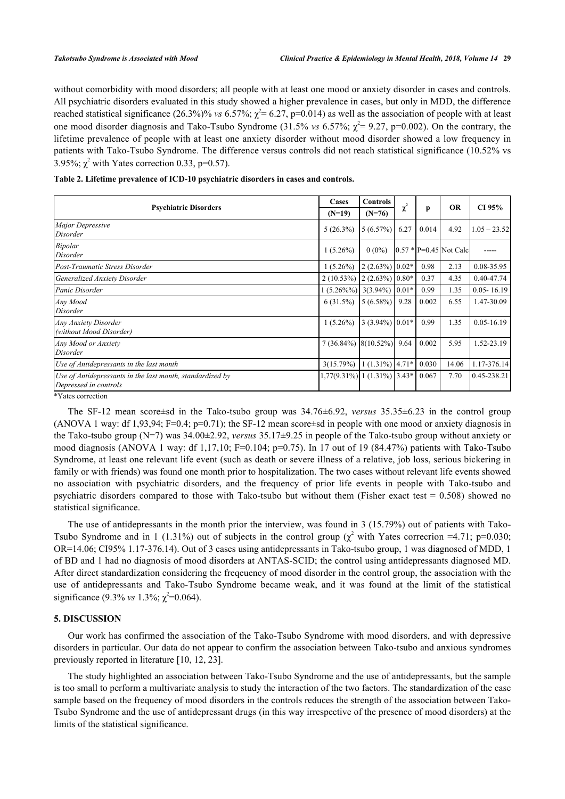without comorbidity with mood disorders; all people with at least one mood or anxiety disorder in cases and controls. All psychiatric disorders evaluated in this study showed a higher prevalence in cases, but only in MDD, the difference reached statistical significance  $(26.3\%)$ % *vs*  $6.57\%$ ;  $\chi^2$  = 6.27, p=0.014) as well as the association of people with at least one mood disorder diagnosis and Tako-Tsubo Syndrome (31.5% *vs* 6.57%;  $\chi^2$ = 9.27, p=0.002). On the contrary, the lifetime prevalence of people with at least one anxiety disorder without mood disorder showed a low frequency in patients with Tako-Tsubo Syndrome. The difference versus controls did not reach statistical significance (10.52% vs 3.95%;  $\chi^2$  with Yates correction 0.33, p=0.57).

|                                                                                    | Cases                              | <b>Controls</b>   | $\chi^2$ | p     | <b>OR</b>                 | CI 95%         |
|------------------------------------------------------------------------------------|------------------------------------|-------------------|----------|-------|---------------------------|----------------|
| <b>Psychiatric Disorders</b>                                                       | $(N=19)$                           | $(N=76)$          |          |       |                           |                |
| Major Depressive<br>Disorder                                                       | $5(26.3\%)$                        | $5(6.57\%)$       | 6.27     | 0.014 | 4.92                      | $1.05 - 23.52$ |
| <b>Bipolar</b><br>Disorder                                                         | $1(5.26\%)$                        | $0(0\%)$          |          |       | $[0.57 *]P=0.45$ Not Calc |                |
| Post-Traumatic Stress Disorder                                                     | $1(5.26\%)$                        | $2(2.63\%)$ 0.02* |          | 0.98  | 2.13                      | 0.08-35.95     |
| Generalized Anxiety Disorder                                                       | $2(10.53\%)$ 2 $(2.63\%)$ 0.80*    |                   |          | 0.37  | 4.35                      | 0.40-47.74     |
| Panic Disorder                                                                     | $1(5.26\%/0)$ 3(3.94%)             |                   | $0.01*$  | 0.99  | 1.35                      | $0.05 - 16.19$ |
| Any Mood<br>Disorder                                                               | 6(31.5%)                           | $5(6.58\%)$       | 9.28     | 0.002 | 6.55                      | 1.47-30.09     |
| <b>Any Anxiety Disorder</b><br>(without Mood Disorder)                             | $1(5.26\%)$                        | $3(3.94\%)$ 0.01* |          | 0.99  | 1.35                      | $0.05 - 16.19$ |
| Any Mood or Anxiety<br>Disorder                                                    | $7(36.84\%)$ $[8(10.52\%)]$        |                   | 9.64     | 0.002 | 5.95                      | 1.52-23.19     |
| Use of Antidepressants in the last month                                           | 3(15.79%)                          | $1(1.31\%)$ 4.71* |          | 0.030 | 14.06                     | 1.17-376.14    |
| Use of Antidepressants in the last month, standardized by<br>Depressed in controls | $1,77(9.31\%)$ $1(1.31\%)$ $3.43*$ |                   |          | 0.067 | 7.70                      | 0.45-238.21    |
| *Yates correction                                                                  |                                    |                   |          |       |                           |                |

<span id="page-3-0"></span>

The SF-12 mean score±sd in the Tako-tsubo group was 34.76±6.92, *versus* 35.35±6.23 in the control group (ANOVA 1 way: df 1,93,94; F=0.4; p=0.71); the SF-12 mean score±sd in people with one mood or anxiety diagnosis in the Tako-tsubo group (N=7) was 34.00±2.92, *versus* 35.17±9.25 in people of the Tako-tsubo group without anxiety or mood diagnosis (ANOVA 1 way: df 1,17,10; F=0.104; p=0.75). In 17 out of 19 (84.47%) patients with Tako-Tsubo Syndrome, at least one relevant life event (such as death or severe illness of a relative, job loss, serious bickering in family or with friends) was found one month prior to hospitalization. The two cases without relevant life events showed no association with psychiatric disorders, and the frequency of prior life events in people with Tako-tsubo and psychiatric disorders compared to those with Tako-tsubo but without them (Fisher exact test = 0.508) showed no statistical significance.

The use of antidepressants in the month prior the interview, was found in 3 (15.79%) out of patients with Tako-Tsubo Syndrome and in 1 (1.31%) out of subjects in the control group ( $\chi^2$  with Yates correcrion =4.71; p=0.030; OR=14.06; CI95% 1.17-376.14). Out of 3 cases using antidepressants in Tako-tsubo group, 1 was diagnosed of MDD, 1 of BD and 1 had no diagnosis of mood disorders at ANTAS-SCID; the control using antidepressants diagnosed MD. After direct standardization considering the freqeuency of mood disorder in the control group, the association with the use of antidepressants and Tako-Tsubo Syndrome became weak, and it was found at the limit of the statistical significance  $(9.3\% \text{ vs } 1.3\%; \chi^2=0.064)$ .

## **5. DISCUSSION**

Our work has confirmed the association of the Tako-Tsubo Syndrome with mood disorders, and with depressive disorders in particular. Our data do not appear to confirm the association between Tako-tsubo and anxious syndromes previously reported in literature [\[10](#page-5-7), [12](#page-5-9), [23](#page-6-9)].

The study highlighted an association between Tako-Tsubo Syndrome and the use of antidepressants, but the sample is too small to perform a multivariate analysis to study the interaction of the two factors. The standardization of the case sample based on the frequency of mood disorders in the controls reduces the strength of the association between Tako-Tsubo Syndrome and the use of antidepressant drugs (in this way irrespective of the presence of mood disorders) at the limits of the statistical significance.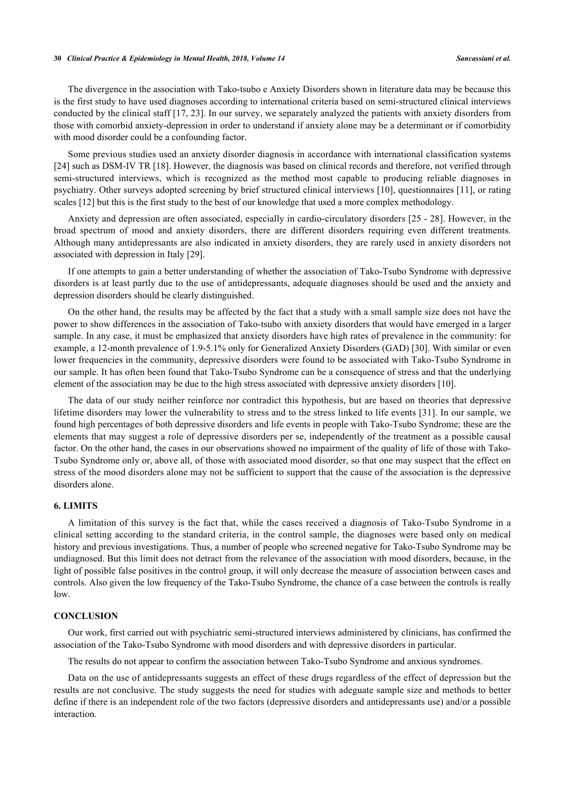#### **30** *Clinical Practice & Epidemiology in Mental Health, 2018, Volume 14 Sancassiani et al.*

The divergence in the association with Tako-tsubo e Anxiety Disorders shown in literature data may be because this is the first study to have used diagnoses according to international criteria based on semi-structured clinical interviews conducted by the clinical staff [[17,](#page-6-3) [23](#page-6-9)]. In our survey, we separately analyzed the patients with anxiety disorders from those with comorbid anxiety-depression in order to understand if anxiety alone may be a determinant or if comorbidity with mood disorder could be a confounding factor.

Some previous studies used an anxiety disorder diagnosis in accordance with international classification systems [\[24](#page-6-10)] such as DSM-IV TR [[18\]](#page-6-4). However, the diagnosis was based on clinical records and therefore, not verified through semi-structured interviews, which is recognized as the method most capable to producing reliable diagnoses in psychiatry. Other surveys adopted screening by brief structured clinical interviews [[10\]](#page-5-7), questionnaires [[11\]](#page-5-8), or rating scales [\[12](#page-5-9)] but this is the first study to the best of our knowledge that used a more complex methodology.

Anxiety and depression are often associated, especially in cardio-circulatory disorders [[25](#page-6-11) - [28](#page-6-12)]. However, in the broad spectrum of mood and anxiety disorders, there are different disorders requiring even different treatments. Although many antidepressants are also indicated in anxiety disorders, they are rarely used in anxiety disorders not associated with depression in Italy [\[29](#page-6-13)].

If one attempts to gain a better understanding of whether the association of Tako-Tsubo Syndrome with depressive disorders is at least partly due to the use of antidepressants, adequate diagnoses should be used and the anxiety and depression disorders should be clearly distinguished.

On the other hand, the results may be affected by the fact that a study with a small sample size does not have the power to show differences in the association of Tako-tsubo with anxiety disorders that would have emerged in a larger sample. In any case, it must be emphasized that anxiety disorders have high rates of prevalence in the community: for example, a 12-month prevalence of 1.9-5.1% only for Generalized Anxiety Disorders (GAD) [\[30](#page-6-14)]. With similar or even lower frequencies in the community, depressive disorders were found to be associated with Tako-Tsubo Syndrome in our sample. It has often been found that Tako-Tsubo Syndrome can be a consequence of stress and that the underlying element of the association may be due to the high stress associated with depressive anxiety disorders [[10\]](#page-5-7).

The data of our study neither reinforce nor contradict this hypothesis, but are based on theories that depressive lifetime disorders may lower the vulnerability to stress and to the stress linked to life events [[31](#page-6-15)]. In our sample, we found high percentages of both depressive disorders and life events in people with Tako-Tsubo Syndrome; these are the elements that may suggest a role of depressive disorders per se, independently of the treatment as a possible causal factor. On the other hand, the cases in our observations showed no impairment of the quality of life of those with Tako-Tsubo Syndrome only or, above all, of those with associated mood disorder, so that one may suspect that the effect on stress of the mood disorders alone may not be sufficient to support that the cause of the association is the depressive disorders alone.

#### **6. LIMITS**

A limitation of this survey is the fact that, while the cases received a diagnosis of Tako-Tsubo Syndrome in a clinical setting according to the standard criteria, in the control sample, the diagnoses were based only on medical history and previous investigations. Thus, a number of people who screened negative for Tako-Tsubo Syndrome may be undiagnosed. But this limit does not detract from the relevance of the association with mood disorders, because, in the light of possible false positives in the control group, it will only decrease the measure of association between cases and controls. Also given the low frequency of the Tako-Tsubo Syndrome, the chance of a case between the controls is really low.

#### **CONCLUSION**

Our work, first carried out with psychiatric semi-structured interviews administered by clinicians, has confirmed the association of the Tako-Tsubo Syndrome with mood disorders and with depressive disorders in particular.

The results do not appear to confirm the association between Tako-Tsubo Syndrome and anxious syndromes.

Data on the use of antidepressants suggests an effect of these drugs regardless of the effect of depression but the results are not conclusive. The study suggests the need for studies with adeguate sample size and methods to better define if there is an independent role of the two factors (depressive disorders and antidepressants use) and/or a possible interaction.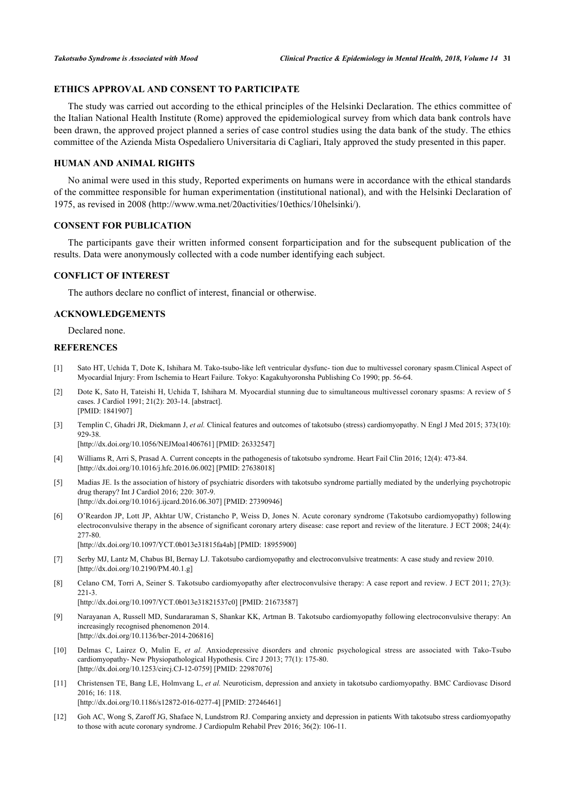## **ETHICS APPROVAL AND CONSENT TO PARTICIPATE**

The study was carried out according to the ethical principles of the Helsinki Declaration. The ethics committee of the Italian National Health Institute (Rome) approved the epidemiological survey from which data bank controls have been drawn, the approved project planned a series of case control studies using the data bank of the study. The ethics committee of the Azienda Mista Ospedaliero Universitaria di Cagliari, Italy approved the study presented in this paper.

## **HUMAN AND ANIMAL RIGHTS**

No animal were used in this study, Reported experiments on humans were in accordance with the ethical standards of the committee responsible for human experimentation (institutional national), and with the Helsinki Declaration of 1975, as revised in 2008 [\(http://www.wma.net/20activities/10ethics/10helsinki/](http://www.wma.net/en/20activities/10ethics/10helsinki/)).

#### **CONSENT FOR PUBLICATION**

The participants gave their written informed consent forparticipation and for the subsequent publication of the results. Data were anonymously collected with a code number identifying each subject.

#### **CONFLICT OF INTEREST**

The authors declare no conflict of interest, financial or otherwise.

## **ACKNOWLEDGEMENTS**

#### Declared none.

## **REFERENCES**

- <span id="page-5-0"></span>[1] Sato HT, Uchida T, Dote K, Ishihara M. Tako-tsubo-like left ventricular dysfunc- tion due to multivessel coronary spasm.Clinical Aspect of Myocardial Injury: From Ischemia to Heart Failure. Tokyo: Kagakuhyoronsha Publishing Co 1990; pp. 56-64.
- <span id="page-5-1"></span>[2] Dote K, Sato H, Tateishi H, Uchida T, Ishihara M. Myocardial stunning due to simultaneous multivessel coronary spasms: A review of 5 cases. J Cardiol 1991; 21(2): 203-14. [abstract]. [PMID: [1841907\]](http://www.ncbi.nlm.nih.gov/pubmed/1841907)
- <span id="page-5-2"></span>[3] Templin C, Ghadri JR, Diekmann J, *et al.* Clinical features and outcomes of takotsubo (stress) cardiomyopathy. N Engl J Med 2015; 373(10): 929-38.

[\[http://dx.doi.org/10.1056/NEJMoa1406761](http://dx.doi.org/10.1056/NEJMoa1406761)] [PMID: [26332547\]](http://www.ncbi.nlm.nih.gov/pubmed/26332547)

- <span id="page-5-3"></span>[4] Williams R, Arri S, Prasad A. Current concepts in the pathogenesis of takotsubo syndrome. Heart Fail Clin 2016; 12(4): 473-84. [\[http://dx.doi.org/10.1016/j.hfc.2016.06.002](http://dx.doi.org/10.1016/j.hfc.2016.06.002)] [PMID: [27638018\]](http://www.ncbi.nlm.nih.gov/pubmed/27638018)
- <span id="page-5-4"></span>[5] Madias JE. Is the association of history of psychiatric disorders with takotsubo syndrome partially mediated by the underlying psychotropic drug therapy? Int J Cardiol 2016; 220: 307-9. [\[http://dx.doi.org/10.1016/j.ijcard.2016.06.307](http://dx.doi.org/10.1016/j.ijcard.2016.06.307)] [PMID: [27390946\]](http://www.ncbi.nlm.nih.gov/pubmed/27390946)
- <span id="page-5-5"></span>[6] O'Reardon JP, Lott JP, Akhtar UW, Cristancho P, Weiss D, Jones N. Acute coronary syndrome (Takotsubo cardiomyopathy) following electroconvulsive therapy in the absence of significant coronary artery disease: case report and review of the literature. J ECT 2008; 24(4): 277-80. [\[http://dx.doi.org/10.1097/YCT.0b013e31815fa4ab](http://dx.doi.org/10.1097/YCT.0b013e31815fa4ab)] [PMID: [18955900\]](http://www.ncbi.nlm.nih.gov/pubmed/18955900)
- [7] Serby MJ, Lantz M, Chabus BI, Bernay LJ. Takotsubo cardiomyopathy and electroconvulsive treatments: A case study and review 2010. [\[http://dx.doi.org/10.2190/PM.40.1.g](http://dx.doi.org/10.2190/PM.40.1.g)]
- [8] Celano CM, Torri A, Seiner S. Takotsubo cardiomyopathy after electroconvulsive therapy: A case report and review. J ECT 2011; 27(3): 221-3.

[\[http://dx.doi.org/10.1097/YCT.0b013e31821537c0\]](http://dx.doi.org/10.1097/YCT.0b013e31821537c0) [PMID: [21673587](http://www.ncbi.nlm.nih.gov/pubmed/21673587)]

- <span id="page-5-6"></span>[9] Narayanan A, Russell MD, Sundararaman S, Shankar KK, Artman B. Takotsubo cardiomyopathy following electroconvulsive therapy: An increasingly recognised phenomenon 2014. [\[http://dx.doi.org/10.1136/bcr-2014-206816](http://dx.doi.org/10.1136/bcr-2014-206816)]
- <span id="page-5-7"></span>[10] Delmas C, Lairez O, Mulin E, *et al.* Anxiodepressive disorders and chronic psychological stress are associated with Tako-Tsubo cardiomyopathy- New Physiopathological Hypothesis. Circ J 2013; 77(1): 175-80. [\[http://dx.doi.org/10.1253/circj.CJ-12-0759\]](http://dx.doi.org/10.1253/circj.CJ-12-0759) [PMID: [22987076](http://www.ncbi.nlm.nih.gov/pubmed/22987076)]
- <span id="page-5-8"></span>[11] Christensen TE, Bang LE, Holmvang L, *et al.* Neuroticism, depression and anxiety in takotsubo cardiomyopathy. BMC Cardiovasc Disord 2016; 16: 118.

[\[http://dx.doi.org/10.1186/s12872-016-0277-4\]](http://dx.doi.org/10.1186/s12872-016-0277-4) [PMID: [27246461](http://www.ncbi.nlm.nih.gov/pubmed/27246461)]

<span id="page-5-9"></span>[12] Goh AC, Wong S, Zaroff JG, Shafaee N, Lundstrom RJ. Comparing anxiety and depression in patients With takotsubo stress cardiomyopathy to those with acute coronary syndrome. J Cardiopulm Rehabil Prev 2016; 36(2): 106-11.